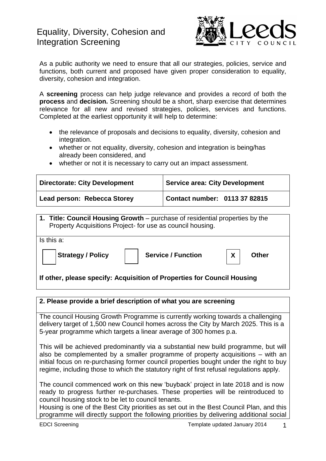

As a public authority we need to ensure that all our strategies, policies, service and functions, both current and proposed have given proper consideration to equality, diversity, cohesion and integration.

A **screening** process can help judge relevance and provides a record of both the **process** and **decision.** Screening should be a short, sharp exercise that determines relevance for all new and revised strategies, policies, services and functions. Completed at the earliest opportunity it will help to determine:

- the relevance of proposals and decisions to equality, diversity, cohesion and integration.
- whether or not equality, diversity, cohesion and integration is being/has already been considered, and
- whether or not it is necessary to carry out an impact assessment.

| <b>Directorate: City Development</b> | <b>Service area: City Development</b> |
|--------------------------------------|---------------------------------------|
| Lead person: Rebecca Storey          | Contact number: 0113 37 82815         |

**1. Title: Council Housing Growth** – purchase of residential properties by the Property Acquisitions Project- for use as council housing. Is this a: **Strategy / Policy | | Service / Function | X | Other If other, please specify: Acquisition of Properties for Council Housing X**

## **2. Please provide a brief description of what you are screening**

The council Housing Growth Programme is currently working towards a challenging delivery target of 1,500 new Council homes across the City by March 2025. This is a 5-year programme which targets a linear average of 300 homes p.a.

This will be achieved predominantly via a substantial new build programme, but will also be complemented by a smaller programme of property acquisitions – with an initial focus on re-purchasing former council properties bought under the right to buy regime, including those to which the statutory right of first refusal regulations apply.

The council commenced work on this new 'buyback' project in late 2018 and is now ready to progress further re-purchases. These properties will be reintroduced to council housing stock to be let to council tenants.

Housing is one of the Best City priorities as set out in the Best Council Plan, and this programme will directly support the following priorities by delivering additional social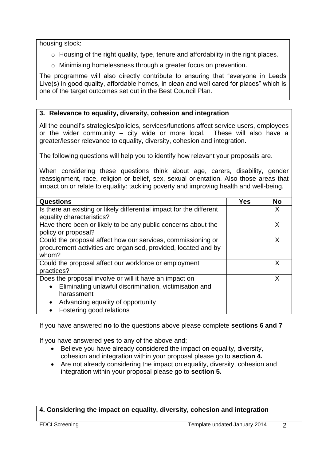housing stock:

- o Housing of the right quality, type, tenure and affordability in the right places.
- o Minimising homelessness through a greater focus on prevention.

The programme will also directly contribute to ensuring that "everyone in Leeds Live(s) in good quality, affordable homes, in clean and well cared for places" which is one of the target outcomes set out in the Best Council Plan.

## **3. Relevance to equality, diversity, cohesion and integration**

All the council's strategies/policies, services/functions affect service users, employees or the wider community – city wide or more local. These will also have a greater/lesser relevance to equality, diversity, cohesion and integration.

The following questions will help you to identify how relevant your proposals are.

When considering these questions think about age, carers, disability, gender reassignment, race, religion or belief, sex, sexual orientation. Also those areas that impact on or relate to equality: tackling poverty and improving health and well-being.

| <b>Questions</b>                                                     | <b>Yes</b> | <b>No</b> |
|----------------------------------------------------------------------|------------|-----------|
| Is there an existing or likely differential impact for the different |            | X         |
| equality characteristics?                                            |            |           |
| Have there been or likely to be any public concerns about the        |            | X         |
| policy or proposal?                                                  |            |           |
| Could the proposal affect how our services, commissioning or         |            | X         |
| procurement activities are organised, provided, located and by       |            |           |
| whom?                                                                |            |           |
| Could the proposal affect our workforce or employment                |            | X         |
| practices?                                                           |            |           |
| Does the proposal involve or will it have an impact on               |            | X         |
| Eliminating unlawful discrimination, victimisation and<br>$\bullet$  |            |           |
| harassment                                                           |            |           |
| Advancing equality of opportunity<br>$\bullet$                       |            |           |
| Fostering good relations                                             |            |           |

If you have answered **no** to the questions above please complete **sections 6 and 7**

If you have answered **yes** to any of the above and;

- Believe you have already considered the impact on equality, diversity, cohesion and integration within your proposal please go to **section 4.**
- Are not already considering the impact on equality, diversity, cohesion and integration within your proposal please go to **section 5.**

# **4. Considering the impact on equality, diversity, cohesion and integration**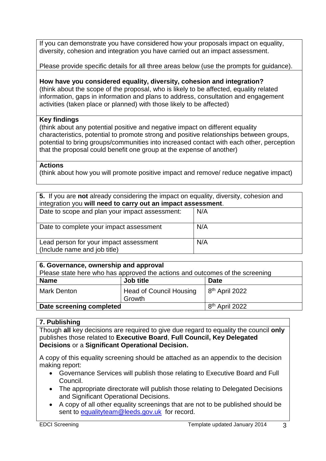If you can demonstrate you have considered how your proposals impact on equality, diversity, cohesion and integration you have carried out an impact assessment.

Please provide specific details for all three areas below (use the prompts for guidance).

#### **How have you considered equality, diversity, cohesion and integration?** (think about the scope of the proposal, who is likely to be affected, equality related information, gaps in information and plans to address, consultation and engagement activities (taken place or planned) with those likely to be affected)

## **Key findings**

(think about any potential positive and negative impact on different equality characteristics, potential to promote strong and positive relationships between groups, potential to bring groups/communities into increased contact with each other, perception that the proposal could benefit one group at the expense of another)

## **Actions**

(think about how you will promote positive impact and remove/ reduce negative impact)

| 5. If you are not already considering the impact on equality, diversity, cohesion and<br>integration you will need to carry out an impact assessment. |     |  |
|-------------------------------------------------------------------------------------------------------------------------------------------------------|-----|--|
| Date to scope and plan your impact assessment:                                                                                                        | N/A |  |
| Date to complete your impact assessment                                                                                                               | N/A |  |
| Lead person for your impact assessment<br>(Include name and job title)                                                                                | N/A |  |

| 6. Governance, ownership and approval                                        |                                          |                            |  |  |
|------------------------------------------------------------------------------|------------------------------------------|----------------------------|--|--|
| Please state here who has approved the actions and outcomes of the screening |                                          |                            |  |  |
| <b>Name</b>                                                                  | Job title                                | <b>Date</b>                |  |  |
| <b>Mark Denton</b>                                                           | <b>Head of Council Housing</b><br>Growth | 8 <sup>th</sup> April 2022 |  |  |
| Date screening completed                                                     |                                          | 8 <sup>th</sup> April 2022 |  |  |

## **7. Publishing**

Though **all** key decisions are required to give due regard to equality the council **only** publishes those related to **Executive Board**, **Full Council, Key Delegated Decisions** or a **Significant Operational Decision.**

A copy of this equality screening should be attached as an appendix to the decision making report:

- Governance Services will publish those relating to Executive Board and Full Council.
- The appropriate directorate will publish those relating to Delegated Decisions and Significant Operational Decisions.
- A copy of all other equality screenings that are not to be published should be sent to [equalityteam@leeds.gov.uk](mailto:equalityteam@leeds.gov.uk) for record.